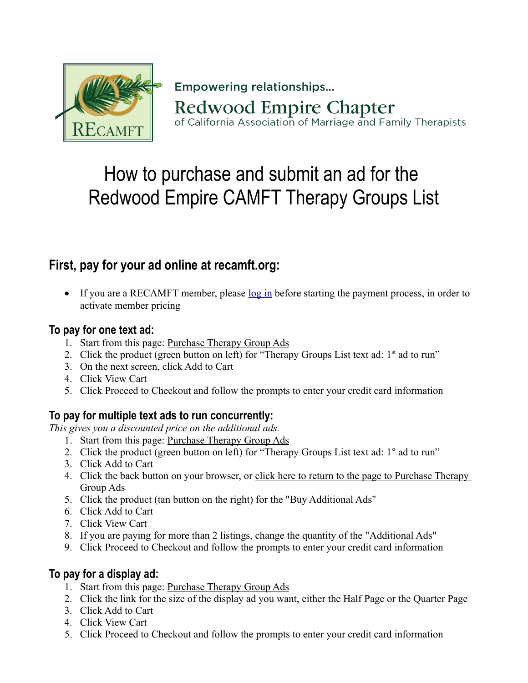

**Empowering relationships... Redwood Empire Chapter** of California Association of Marriage and Family Therapists

# How to purchase and submit an ad for the Redwood Empire CAMFT Therapy Groups List

# **First, pay for your ad online at recamft.org:**

If you are a RECAMFT member, please [log in](https://www.recamft.org/Sys/Login) before starting the payment process, in order to activate member pricing

#### **To pay for one text ad:**

- 1. Start from this page: [Purchase Therapy Group Ads](https://www.recamft.org/Purchase-Therapy-Group-Ads)
- 2. Click the product (green button on left) for "Therapy Groups List text ad:  $1<sup>st</sup>$  ad to run"
- 3. On the next screen, click Add to Cart
- 4. Click View Cart
- 5. Click Proceed to Checkout and follow the prompts to enter your credit card information

## **To pay for multiple text ads to run concurrently:**

*This gives you a discounted price on the additional ads.*

- 1. Start from this page: [Purchase Therapy Group Ads](https://www.recamft.org/Purchase-Therapy-Group-Ads)
- 2. Click the product (green button on left) for "Therapy Groups List text ad: 1<sup>st</sup> ad to run"
- 3. Click Add to Cart
- 4. Click the back button on your browser, or click here to return to the page to Purchase Therapy [Group Ads](https://www.recamft.org/Purchase-Therapy-Group-Ads)
- 5. Click the product (tan button on the right) for the "Buy Additional Ads"
- 6. Click Add to Cart
- 7. Click View Cart
- 8. If you are paying for more than 2 listings, change the quantity of the "Additional Ads"
- 9. Click Proceed to Checkout and follow the prompts to enter your credit card information

#### **To pay for a display ad:**

- 1. Start from this page: [Purchase Therapy Group Ads](https://www.recamft.org/Purchase-Therapy-Group-Ads)
- 2. Click the link for the size of the display ad you want, either the Half Page or the Quarter Page
- 3. Click Add to Cart
- 4. Click View Cart
- 5. Click Proceed to Checkout and follow the prompts to enter your credit card information